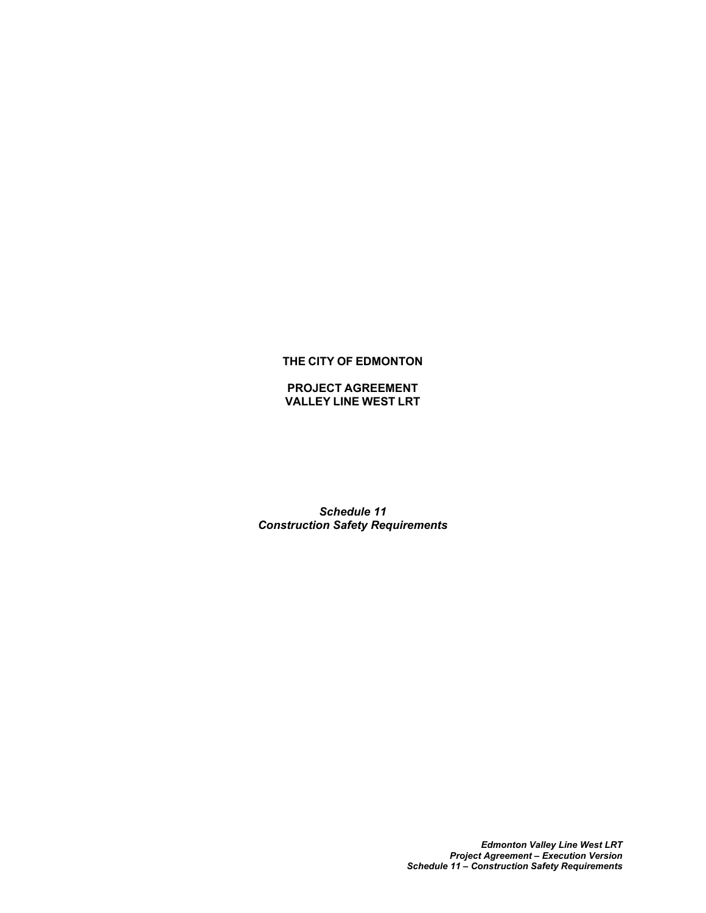# **THE CITY OF EDMONTON**

### **PROJECT AGREEMENT VALLEY LINE WEST LRT**

*Schedule 11 Construction Safety Requirements*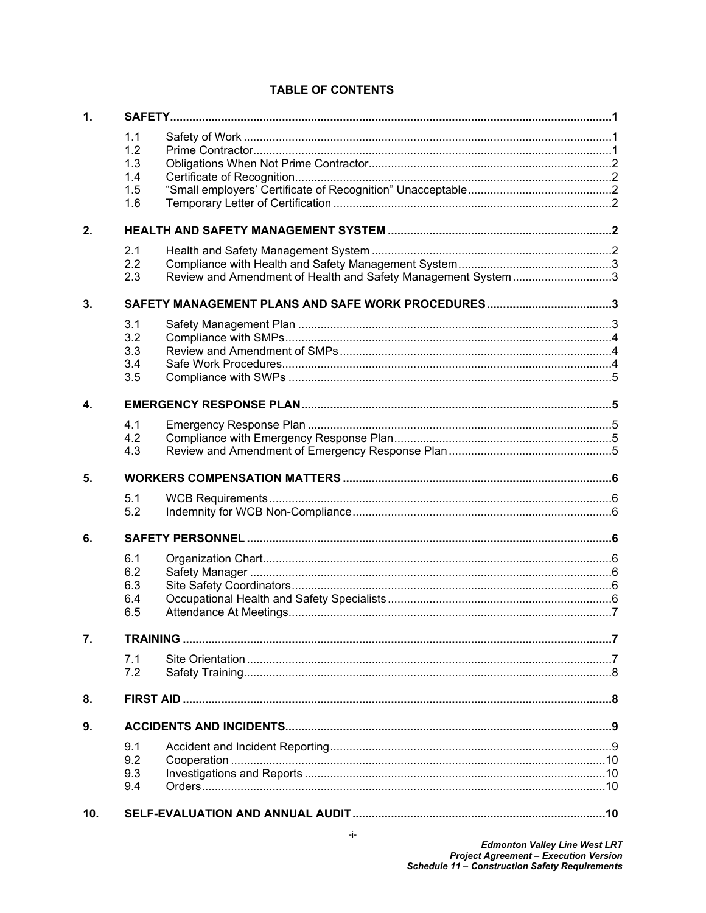# **TABLE OF CONTENTS**

| 1. |                                        |                                                              |  |  |  |  |
|----|----------------------------------------|--------------------------------------------------------------|--|--|--|--|
|    | 1.1<br>1.2<br>1.3<br>1.4<br>1.5<br>1.6 |                                                              |  |  |  |  |
| 2. |                                        |                                                              |  |  |  |  |
|    | 2.1<br>2.2<br>2.3                      | Review and Amendment of Health and Safety Management System3 |  |  |  |  |
| 3. |                                        |                                                              |  |  |  |  |
|    | 3.1<br>3.2<br>3.3<br>3.4<br>3.5        |                                                              |  |  |  |  |
| 4. |                                        |                                                              |  |  |  |  |
|    | 4.1<br>4.2<br>4.3                      |                                                              |  |  |  |  |
| 5. |                                        |                                                              |  |  |  |  |
|    | 5.1<br>5.2                             |                                                              |  |  |  |  |
| 6. |                                        |                                                              |  |  |  |  |
|    | 6.1<br>6.2<br>6.3<br>6.4<br>6.5        |                                                              |  |  |  |  |
| 7. |                                        |                                                              |  |  |  |  |
|    |                                        |                                                              |  |  |  |  |
|    | 7.1<br>7.2                             |                                                              |  |  |  |  |
| 8. |                                        |                                                              |  |  |  |  |
| 9. |                                        |                                                              |  |  |  |  |
|    | 9.1<br>9.2<br>9.3<br>9.4               |                                                              |  |  |  |  |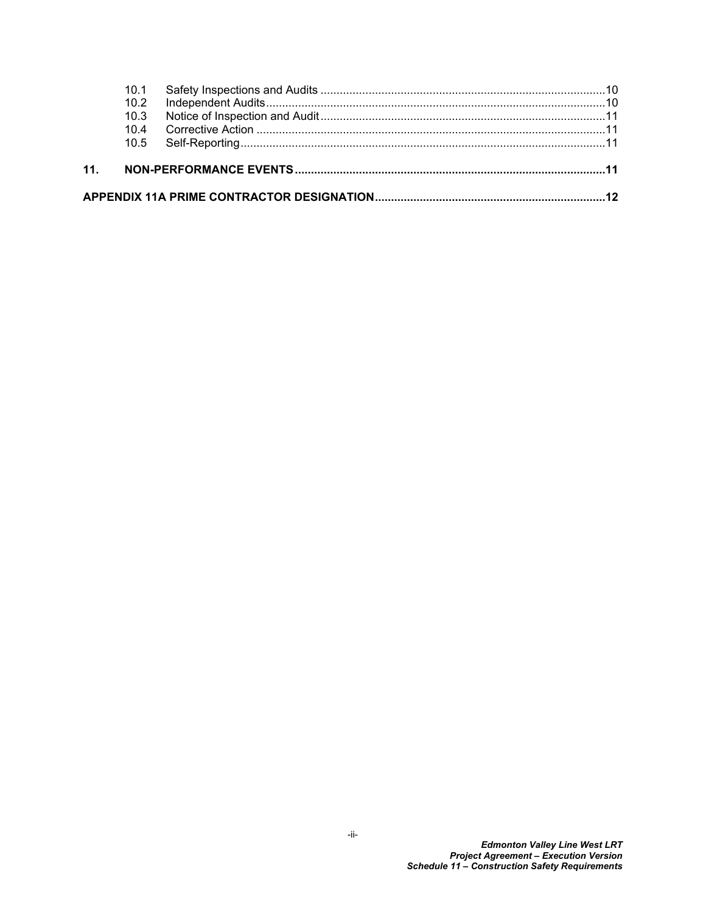| 11. |                   |  |
|-----|-------------------|--|
|     |                   |  |
|     | $10\,4$           |  |
|     | 10.3              |  |
|     | 10.2 <sub>1</sub> |  |
|     |                   |  |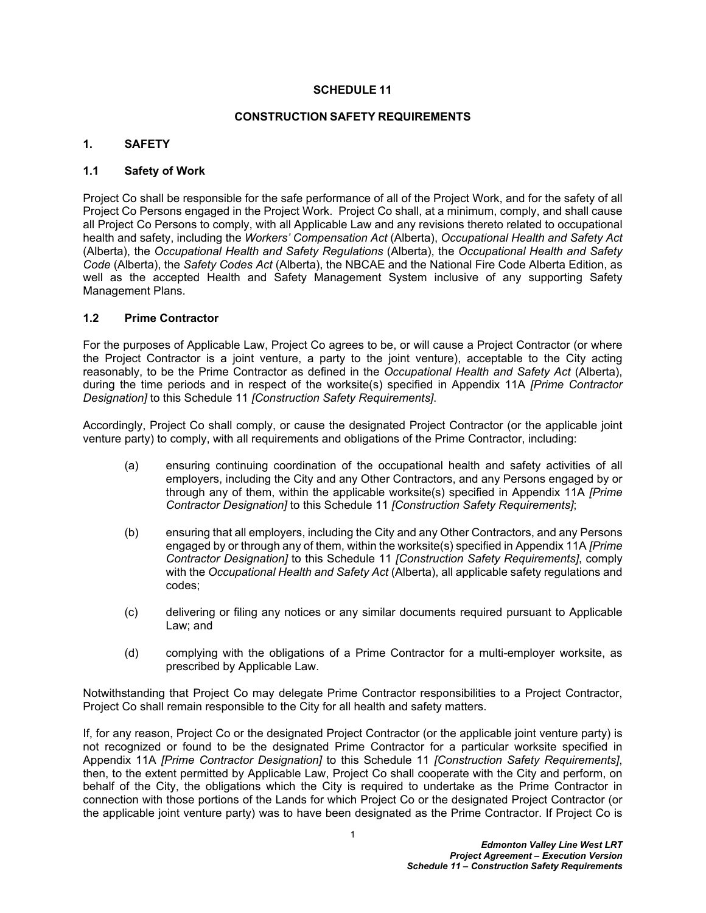#### **SCHEDULE 11**

### **CONSTRUCTION SAFETY REQUIREMENTS**

## <span id="page-3-0"></span>**1. SAFETY**

### <span id="page-3-1"></span>**1.1 Safety of Work**

Project Co shall be responsible for the safe performance of all of the Project Work, and for the safety of all Project Co Persons engaged in the Project Work. Project Co shall, at a minimum, comply, and shall cause all Project Co Persons to comply, with all Applicable Law and any revisions thereto related to occupational health and safety, including the *Workers' Compensation Act* (Alberta), *Occupational Health and Safety Act*  (Alberta), the *Occupational Health and Safety Regulations* (Alberta), the *Occupational Health and Safety Code* (Alberta), the *Safety Codes Act* (Alberta), the NBCAE and the National Fire Code Alberta Edition, as well as the accepted Health and Safety Management System inclusive of any supporting Safety Management Plans.

## <span id="page-3-2"></span>**1.2 Prime Contractor**

For the purposes of Applicable Law, Project Co agrees to be, or will cause a Project Contractor (or where the Project Contractor is a joint venture, a party to the joint venture), acceptable to the City acting reasonably, to be the Prime Contractor as defined in the *Occupational Health and Safety Act* (Alberta), during the time periods and in respect of the worksite(s) specified in [Appendix 11A](#page-14-0) *[Prime Contractor Designation]* to this Schedule 11 *[Construction Safety Requirements]*.

Accordingly, Project Co shall comply, or cause the designated Project Contractor (or the applicable joint venture party) to comply, with all requirements and obligations of the Prime Contractor, including:

- (a) ensuring continuing coordination of the occupational health and safety activities of all employers, including the City and any Other Contractors, and any Persons engaged by or through any of them, within the applicable worksite(s) specified in [Appendix 11A](#page-14-0) *[Prime Contractor Designation]* to this Schedule 11 *[Construction Safety Requirements]*;
- (b) ensuring that all employers, including the City and any Other Contractors, and any Persons engaged by or through any of them, within the worksite(s) specified in [Appendix 11A](#page-14-0) *[Prime Contractor Designation]* to this Schedule 11 *[Construction Safety Requirements]*, comply with the *Occupational Health and Safety Act* (Alberta), all applicable safety regulations and codes;
- (c) delivering or filing any notices or any similar documents required pursuant to Applicable Law; and
- (d) complying with the obligations of a Prime Contractor for a multi-employer worksite, as prescribed by Applicable Law.

Notwithstanding that Project Co may delegate Prime Contractor responsibilities to a Project Contractor, Project Co shall remain responsible to the City for all health and safety matters.

If, for any reason, Project Co or the designated Project Contractor (or the applicable joint venture party) is not recognized or found to be the designated Prime Contractor for a particular worksite specified in [Appendix 11A](#page-14-0) *[Prime Contractor Designation]* to this Schedule 11 *[Construction Safety Requirements]*, then, to the extent permitted by Applicable Law, Project Co shall cooperate with the City and perform, on behalf of the City, the obligations which the City is required to undertake as the Prime Contractor in connection with those portions of the Lands for which Project Co or the designated Project Contractor (or the applicable joint venture party) was to have been designated as the Prime Contractor. If Project Co is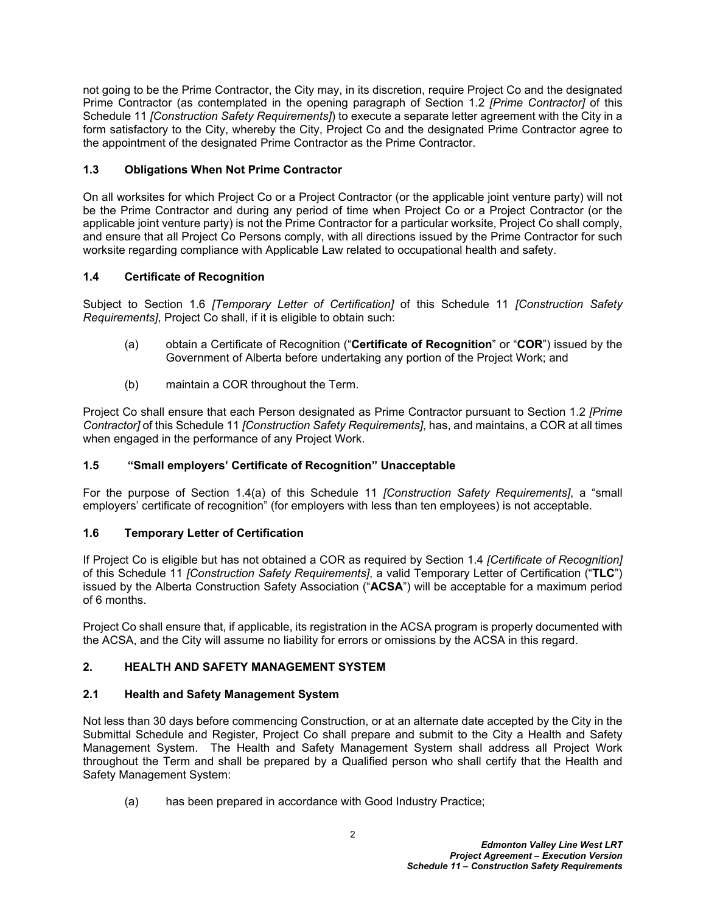not going to be the Prime Contractor, the City may, in its discretion, require Project Co and the designated Prime Contractor (as contemplated in the opening paragraph of Section [1.2](#page-3-2) *[Prime Contractor]* of this Schedule 11 *[Construction Safety Requirements]*) to execute a separate letter agreement with the City in a form satisfactory to the City, whereby the City, Project Co and the designated Prime Contractor agree to the appointment of the designated Prime Contractor as the Prime Contractor.

# <span id="page-4-0"></span>**1.3 Obligations When Not Prime Contractor**

On all worksites for which Project Co or a Project Contractor (or the applicable joint venture party) will not be the Prime Contractor and during any period of time when Project Co or a Project Contractor (or the applicable joint venture party) is not the Prime Contractor for a particular worksite, Project Co shall comply, and ensure that all Project Co Persons comply, with all directions issued by the Prime Contractor for such worksite regarding compliance with Applicable Law related to occupational health and safety.

# <span id="page-4-1"></span>**1.4 Certificate of Recognition**

Subject to Section [1.6](#page-4-3) *[Temporary Letter of Certification]* of this Schedule 11 *[Construction Safety Requirements]*, Project Co shall, if it is eligible to obtain such:

- <span id="page-4-6"></span>(a) obtain a Certificate of Recognition ("**Certificate of Recognition**" or "**COR**") issued by the Government of Alberta before undertaking any portion of the Project Work; and
- (b) maintain a COR throughout the Term.

Project Co shall ensure that each Person designated as Prime Contractor pursuant to Section [1.2](#page-3-2) *[Prime Contractor]* of this Schedule 11 *[Construction Safety Requirements]*, has, and maintains, a COR at all times when engaged in the performance of any Project Work.

# <span id="page-4-2"></span>**1.5 "Small employers' Certificate of Recognition" Unacceptable**

For the purpose of Section [1.4\(a\)](#page-4-6) of this Schedule 11 *[Construction Safety Requirements]*, a "small employers' certificate of recognition" (for employers with less than ten employees) is not acceptable.

# <span id="page-4-3"></span>**1.6 Temporary Letter of Certification**

If Project Co is eligible but has not obtained a COR as required by Section [1.4](#page-4-1) *[Certificate of Recognition]*  of this Schedule 11 *[Construction Safety Requirements]*, a valid Temporary Letter of Certification ("**TLC**") issued by the Alberta Construction Safety Association ("**ACSA**") will be acceptable for a maximum period of 6 months.

Project Co shall ensure that, if applicable, its registration in the ACSA program is properly documented with the ACSA, and the City will assume no liability for errors or omissions by the ACSA in this regard.

# <span id="page-4-4"></span>**2. HEALTH AND SAFETY MANAGEMENT SYSTEM**

# <span id="page-4-5"></span>**2.1 Health and Safety Management System**

Not less than 30 days before commencing Construction, or at an alternate date accepted by the City in the Submittal Schedule and Register, Project Co shall prepare and submit to the City a Health and Safety Management System. The Health and Safety Management System shall address all Project Work throughout the Term and shall be prepared by a Qualified person who shall certify that the Health and Safety Management System:

(a) has been prepared in accordance with Good Industry Practice;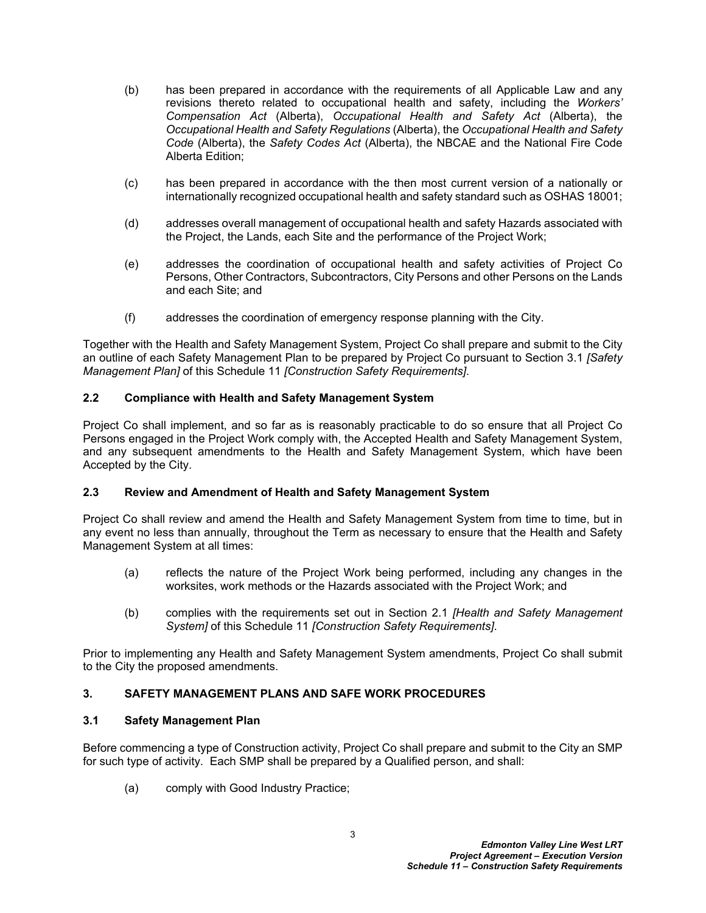- (b) has been prepared in accordance with the requirements of all Applicable Law and any revisions thereto related to occupational health and safety, including the *Workers' Compensation Act* (Alberta), *Occupational Health and Safety Act* (Alberta), the *Occupational Health and Safety Regulations* (Alberta), the *Occupational Health and Safety Code* (Alberta), the *Safety Codes Act* (Alberta), the NBCAE and the National Fire Code Alberta Edition;
- (c) has been prepared in accordance with the then most current version of a nationally or internationally recognized occupational health and safety standard such as OSHAS 18001;
- (d) addresses overall management of occupational health and safety Hazards associated with the Project, the Lands, each Site and the performance of the Project Work;
- (e) addresses the coordination of occupational health and safety activities of Project Co Persons, Other Contractors, Subcontractors, City Persons and other Persons on the Lands and each Site; and
- (f) addresses the coordination of emergency response planning with the City.

Together with the Health and Safety Management System, Project Co shall prepare and submit to the City an outline of each Safety Management Plan to be prepared by Project Co pursuant to Section [3.1](#page-5-3) *[Safety Management Plan]* of this Schedule 11 *[Construction Safety Requirements]*.

### <span id="page-5-0"></span>**2.2 Compliance with Health and Safety Management System**

Project Co shall implement, and so far as is reasonably practicable to do so ensure that all Project Co Persons engaged in the Project Work comply with, the Accepted Health and Safety Management System, and any subsequent amendments to the Health and Safety Management System, which have been Accepted by the City.

#### <span id="page-5-1"></span>**2.3 Review and Amendment of Health and Safety Management System**

Project Co shall review and amend the Health and Safety Management System from time to time, but in any event no less than annually, throughout the Term as necessary to ensure that the Health and Safety Management System at all times:

- (a) reflects the nature of the Project Work being performed, including any changes in the worksites, work methods or the Hazards associated with the Project Work; and
- (b) complies with the requirements set out in Section [2.1](#page-4-5) *[Health and Safety Management System]* of this Schedule 11 *[Construction Safety Requirements]*.

Prior to implementing any Health and Safety Management System amendments, Project Co shall submit to the City the proposed amendments.

## <span id="page-5-2"></span>**3. SAFETY MANAGEMENT PLANS AND SAFE WORK PROCEDURES**

#### <span id="page-5-3"></span>**3.1 Safety Management Plan**

Before commencing a type of Construction activity, Project Co shall prepare and submit to the City an SMP for such type of activity. Each SMP shall be prepared by a Qualified person, and shall:

(a) comply with Good Industry Practice;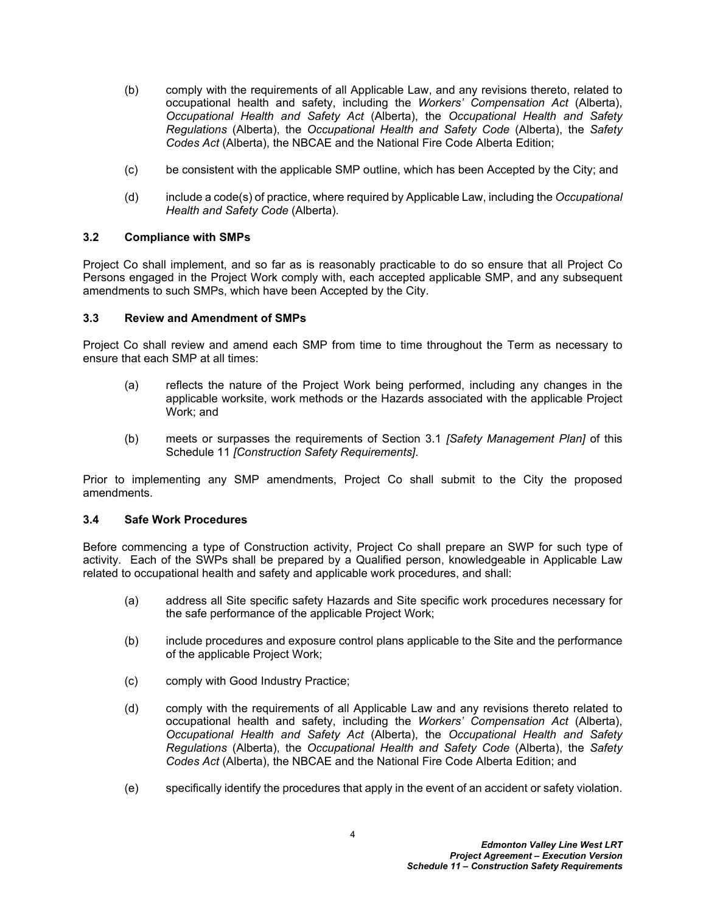- (b) comply with the requirements of all Applicable Law, and any revisions thereto, related to occupational health and safety, including the *Workers' Compensation Act* (Alberta), *Occupational Health and Safety Act* (Alberta), the *Occupational Health and Safety Regulations* (Alberta), the *Occupational Health and Safety Code* (Alberta), the *Safety Codes Act* (Alberta), the NBCAE and the National Fire Code Alberta Edition;
- (c) be consistent with the applicable SMP outline, which has been Accepted by the City; and
- (d) include a code(s) of practice, where required by Applicable Law, including the *Occupational Health and Safety Code* (Alberta).

### <span id="page-6-0"></span>**3.2 Compliance with SMPs**

Project Co shall implement, and so far as is reasonably practicable to do so ensure that all Project Co Persons engaged in the Project Work comply with, each accepted applicable SMP, and any subsequent amendments to such SMPs, which have been Accepted by the City.

### <span id="page-6-1"></span>**3.3 Review and Amendment of SMPs**

Project Co shall review and amend each SMP from time to time throughout the Term as necessary to ensure that each SMP at all times:

- (a) reflects the nature of the Project Work being performed, including any changes in the applicable worksite, work methods or the Hazards associated with the applicable Project Work; and
- (b) meets or surpasses the requirements of Section [3.1](#page-5-3) *[Safety Management Plan]* of this Schedule 11 *[Construction Safety Requirements]*.

Prior to implementing any SMP amendments, Project Co shall submit to the City the proposed amendments.

### <span id="page-6-2"></span>**3.4 Safe Work Procedures**

Before commencing a type of Construction activity, Project Co shall prepare an SWP for such type of activity. Each of the SWPs shall be prepared by a Qualified person, knowledgeable in Applicable Law related to occupational health and safety and applicable work procedures, and shall:

- (a) address all Site specific safety Hazards and Site specific work procedures necessary for the safe performance of the applicable Project Work;
- (b) include procedures and exposure control plans applicable to the Site and the performance of the applicable Project Work;
- (c) comply with Good Industry Practice;
- (d) comply with the requirements of all Applicable Law and any revisions thereto related to occupational health and safety, including the *Workers' Compensation Act* (Alberta), *Occupational Health and Safety Act* (Alberta), the *Occupational Health and Safety Regulations* (Alberta), the *Occupational Health and Safety Code* (Alberta), the *Safety Codes Act* (Alberta), the NBCAE and the National Fire Code Alberta Edition; and
- (e) specifically identify the procedures that apply in the event of an accident or safety violation.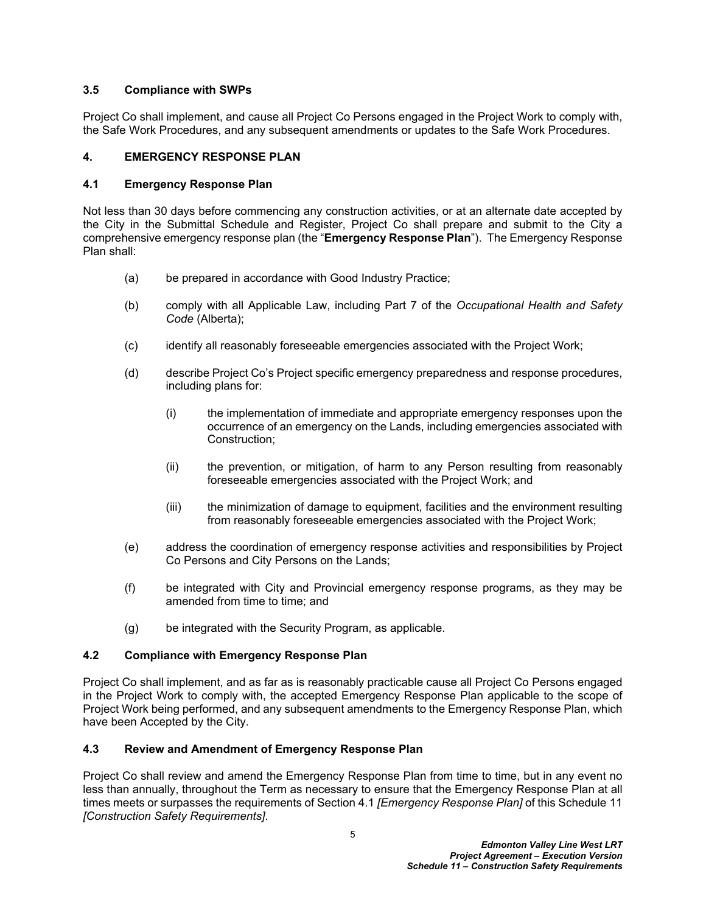## <span id="page-7-0"></span>**3.5 Compliance with SWPs**

Project Co shall implement, and cause all Project Co Persons engaged in the Project Work to comply with, the Safe Work Procedures, and any subsequent amendments or updates to the Safe Work Procedures.

## <span id="page-7-1"></span>**4. EMERGENCY RESPONSE PLAN**

## <span id="page-7-2"></span>**4.1 Emergency Response Plan**

Not less than 30 days before commencing any construction activities, or at an alternate date accepted by the City in the Submittal Schedule and Register, Project Co shall prepare and submit to the City a comprehensive emergency response plan (the "**Emergency Response Plan**"). The Emergency Response Plan shall:

- (a) be prepared in accordance with Good Industry Practice;
- (b) comply with all Applicable Law, including Part 7 of the *Occupational Health and Safety Code* (Alberta);
- (c) identify all reasonably foreseeable emergencies associated with the Project Work;
- (d) describe Project Co's Project specific emergency preparedness and response procedures, including plans for:
	- (i) the implementation of immediate and appropriate emergency responses upon the occurrence of an emergency on the Lands, including emergencies associated with Construction;
	- (ii) the prevention, or mitigation, of harm to any Person resulting from reasonably foreseeable emergencies associated with the Project Work; and
	- (iii) the minimization of damage to equipment, facilities and the environment resulting from reasonably foreseeable emergencies associated with the Project Work;
- (e) address the coordination of emergency response activities and responsibilities by Project Co Persons and City Persons on the Lands;
- (f) be integrated with City and Provincial emergency response programs, as they may be amended from time to time; and
- (g) be integrated with the Security Program, as applicable.

# <span id="page-7-3"></span>**4.2 Compliance with Emergency Response Plan**

Project Co shall implement, and as far as is reasonably practicable cause all Project Co Persons engaged in the Project Work to comply with, the accepted Emergency Response Plan applicable to the scope of Project Work being performed, and any subsequent amendments to the Emergency Response Plan, which have been Accepted by the City.

## <span id="page-7-4"></span>**4.3 Review and Amendment of Emergency Response Plan**

Project Co shall review and amend the Emergency Response Plan from time to time, but in any event no less than annually, throughout the Term as necessary to ensure that the Emergency Response Plan at all times meets or surpasses the requirements of Section [4.1](#page-7-2) *[Emergency Response Plan]* of this Schedule 11 *[Construction Safety Requirements]*.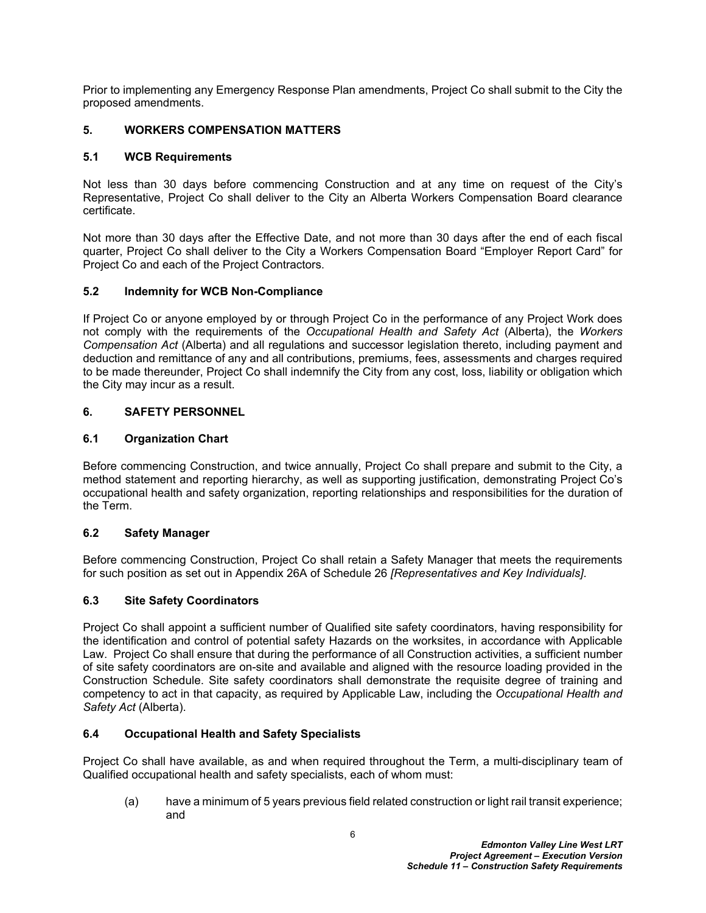Prior to implementing any Emergency Response Plan amendments, Project Co shall submit to the City the proposed amendments.

# <span id="page-8-0"></span>**5. WORKERS COMPENSATION MATTERS**

## <span id="page-8-1"></span>**5.1 WCB Requirements**

Not less than 30 days before commencing Construction and at any time on request of the City's Representative, Project Co shall deliver to the City an Alberta Workers Compensation Board clearance certificate.

Not more than 30 days after the Effective Date, and not more than 30 days after the end of each fiscal quarter, Project Co shall deliver to the City a Workers Compensation Board "Employer Report Card" for Project Co and each of the Project Contractors.

## <span id="page-8-2"></span>**5.2 Indemnity for WCB Non-Compliance**

If Project Co or anyone employed by or through Project Co in the performance of any Project Work does not comply with the requirements of the *Occupational Health and Safety Act* (Alberta), the *Workers Compensation Act* (Alberta) and all regulations and successor legislation thereto, including payment and deduction and remittance of any and all contributions, premiums, fees, assessments and charges required to be made thereunder, Project Co shall indemnify the City from any cost, loss, liability or obligation which the City may incur as a result.

## <span id="page-8-3"></span>**6. SAFETY PERSONNEL**

### <span id="page-8-4"></span>**6.1 Organization Chart**

Before commencing Construction, and twice annually, Project Co shall prepare and submit to the City, a method statement and reporting hierarchy, as well as supporting justification, demonstrating Project Co's occupational health and safety organization, reporting relationships and responsibilities for the duration of the Term.

#### <span id="page-8-5"></span>**6.2 Safety Manager**

Before commencing Construction, Project Co shall retain a Safety Manager that meets the requirements for such position as set out in Appendix 26A of Schedule 26 *[Representatives and Key Individuals]*.

#### <span id="page-8-6"></span>**6.3 Site Safety Coordinators**

Project Co shall appoint a sufficient number of Qualified site safety coordinators, having responsibility for the identification and control of potential safety Hazards on the worksites, in accordance with Applicable Law. Project Co shall ensure that during the performance of all Construction activities, a sufficient number of site safety coordinators are on-site and available and aligned with the resource loading provided in the Construction Schedule. Site safety coordinators shall demonstrate the requisite degree of training and competency to act in that capacity, as required by Applicable Law, including the *Occupational Health and Safety Act* (Alberta).

#### <span id="page-8-7"></span>**6.4 Occupational Health and Safety Specialists**

Project Co shall have available, as and when required throughout the Term, a multi-disciplinary team of Qualified occupational health and safety specialists, each of whom must:

(a) have a minimum of 5 years previous field related construction or light rail transit experience; and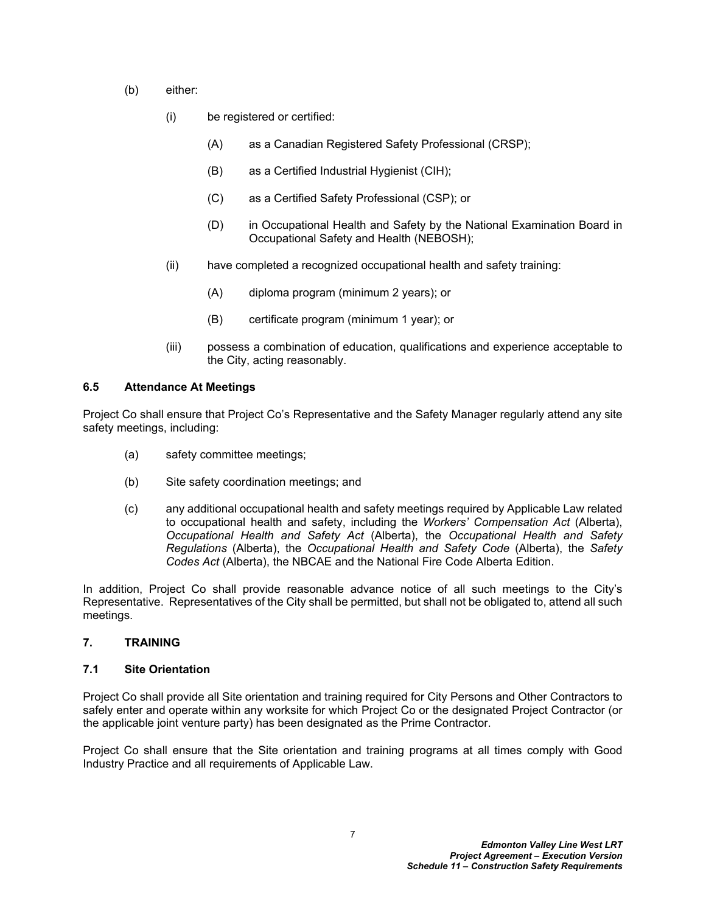- (b) either:
	- (i) be registered or certified:
		- (A) as a Canadian Registered Safety Professional (CRSP);
		- (B) as a Certified Industrial Hygienist (CIH);
		- (C) as a Certified Safety Professional (CSP); or
		- (D) in Occupational Health and Safety by the National Examination Board in Occupational Safety and Health (NEBOSH);
	- (ii) have completed a recognized occupational health and safety training:
		- (A) diploma program (minimum 2 years); or
		- (B) certificate program (minimum 1 year); or
	- (iii) possess a combination of education, qualifications and experience acceptable to the City, acting reasonably.

### <span id="page-9-0"></span>**6.5 Attendance At Meetings**

Project Co shall ensure that Project Co's Representative and the Safety Manager regularly attend any site safety meetings, including:

- (a) safety committee meetings;
- (b) Site safety coordination meetings; and
- (c) any additional occupational health and safety meetings required by Applicable Law related to occupational health and safety, including the *Workers' Compensation Act* (Alberta), *Occupational Health and Safety Act* (Alberta), the *Occupational Health and Safety Regulations* (Alberta), the *Occupational Health and Safety Code* (Alberta), the *Safety Codes Act* (Alberta), the NBCAE and the National Fire Code Alberta Edition.

In addition, Project Co shall provide reasonable advance notice of all such meetings to the City's Representative. Representatives of the City shall be permitted, but shall not be obligated to, attend all such meetings.

## <span id="page-9-1"></span>**7. TRAINING**

#### <span id="page-9-2"></span>**7.1 Site Orientation**

Project Co shall provide all Site orientation and training required for City Persons and Other Contractors to safely enter and operate within any worksite for which Project Co or the designated Project Contractor (or the applicable joint venture party) has been designated as the Prime Contractor.

Project Co shall ensure that the Site orientation and training programs at all times comply with Good Industry Practice and all requirements of Applicable Law.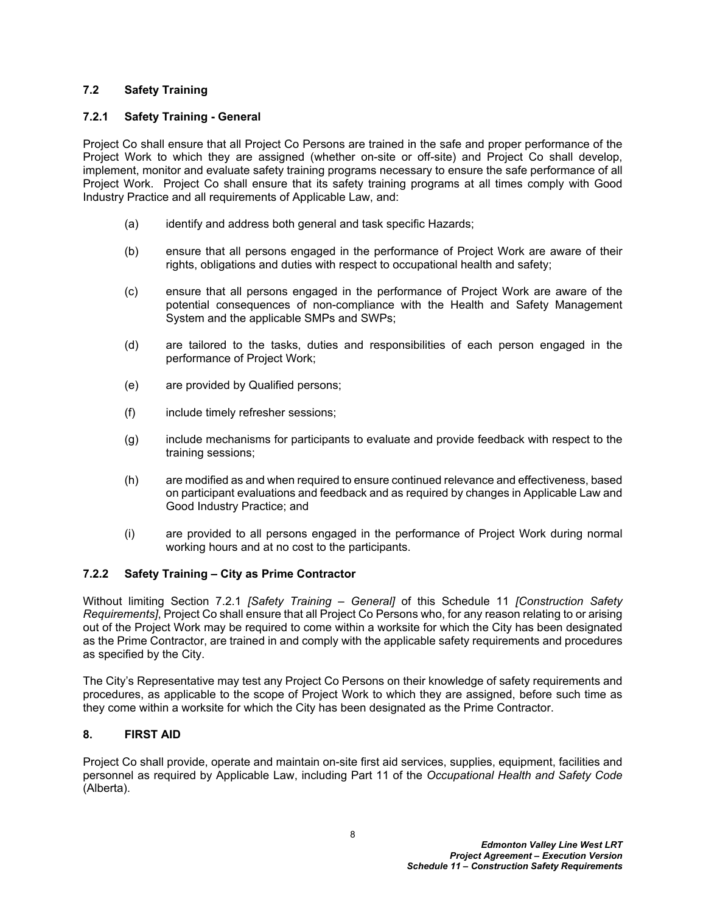## <span id="page-10-0"></span>**7.2 Safety Training**

## **7.2.1 Safety Training - General**

Project Co shall ensure that all Project Co Persons are trained in the safe and proper performance of the Project Work to which they are assigned (whether on-site or off-site) and Project Co shall develop, implement, monitor and evaluate safety training programs necessary to ensure the safe performance of all Project Work. Project Co shall ensure that its safety training programs at all times comply with Good Industry Practice and all requirements of Applicable Law, and:

- (a) identify and address both general and task specific Hazards;
- (b) ensure that all persons engaged in the performance of Project Work are aware of their rights, obligations and duties with respect to occupational health and safety;
- (c) ensure that all persons engaged in the performance of Project Work are aware of the potential consequences of non-compliance with the Health and Safety Management System and the applicable SMPs and SWPs;
- (d) are tailored to the tasks, duties and responsibilities of each person engaged in the performance of Project Work;
- (e) are provided by Qualified persons;
- (f) include timely refresher sessions;
- (g) include mechanisms for participants to evaluate and provide feedback with respect to the training sessions;
- (h) are modified as and when required to ensure continued relevance and effectiveness, based on participant evaluations and feedback and as required by changes in Applicable Law and Good Industry Practice; and
- (i) are provided to all persons engaged in the performance of Project Work during normal working hours and at no cost to the participants.

## **7.2.2 Safety Training – City as Prime Contractor**

Without limiting Section 7.2.1 *[Safety Training – General]* of this Schedule 11 *[Construction Safety Requirements]*, Project Co shall ensure that all Project Co Persons who, for any reason relating to or arising out of the Project Work may be required to come within a worksite for which the City has been designated as the Prime Contractor, are trained in and comply with the applicable safety requirements and procedures as specified by the City.

The City's Representative may test any Project Co Persons on their knowledge of safety requirements and procedures, as applicable to the scope of Project Work to which they are assigned, before such time as they come within a worksite for which the City has been designated as the Prime Contractor.

## <span id="page-10-1"></span>**8. FIRST AID**

Project Co shall provide, operate and maintain on-site first aid services, supplies, equipment, facilities and personnel as required by Applicable Law, including Part 11 of the *Occupational Health and Safety Code* (Alberta).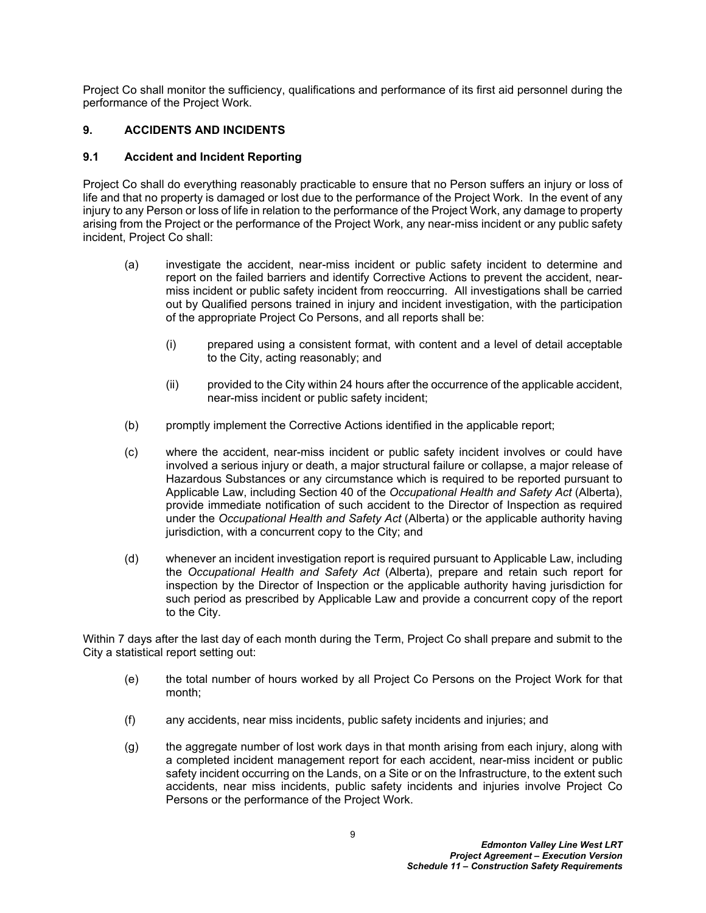Project Co shall monitor the sufficiency, qualifications and performance of its first aid personnel during the performance of the Project Work.

## <span id="page-11-0"></span>**9. ACCIDENTS AND INCIDENTS**

### <span id="page-11-1"></span>**9.1 Accident and Incident Reporting**

Project Co shall do everything reasonably practicable to ensure that no Person suffers an injury or loss of life and that no property is damaged or lost due to the performance of the Project Work. In the event of any injury to any Person or loss of life in relation to the performance of the Project Work, any damage to property arising from the Project or the performance of the Project Work, any near-miss incident or any public safety incident, Project Co shall:

- (a) investigate the accident, near-miss incident or public safety incident to determine and report on the failed barriers and identify Corrective Actions to prevent the accident, nearmiss incident or public safety incident from reoccurring. All investigations shall be carried out by Qualified persons trained in injury and incident investigation, with the participation of the appropriate Project Co Persons, and all reports shall be:
	- (i) prepared using a consistent format, with content and a level of detail acceptable to the City, acting reasonably; and
	- (ii) provided to the City within 24 hours after the occurrence of the applicable accident, near-miss incident or public safety incident;
- (b) promptly implement the Corrective Actions identified in the applicable report;
- (c) where the accident, near-miss incident or public safety incident involves or could have involved a serious injury or death, a major structural failure or collapse, a major release of Hazardous Substances or any circumstance which is required to be reported pursuant to Applicable Law, including Section 40 of the *Occupational Health and Safety Act* (Alberta), provide immediate notification of such accident to the Director of Inspection as required under the *Occupational Health and Safety Act* (Alberta) or the applicable authority having jurisdiction, with a concurrent copy to the City; and
- (d) whenever an incident investigation report is required pursuant to Applicable Law, including the *Occupational Health and Safety Act* (Alberta), prepare and retain such report for inspection by the Director of Inspection or the applicable authority having jurisdiction for such period as prescribed by Applicable Law and provide a concurrent copy of the report to the City.

Within 7 days after the last day of each month during the Term, Project Co shall prepare and submit to the City a statistical report setting out:

- (e) the total number of hours worked by all Project Co Persons on the Project Work for that month;
- (f) any accidents, near miss incidents, public safety incidents and injuries; and
- (g) the aggregate number of lost work days in that month arising from each injury, along with a completed incident management report for each accident, near-miss incident or public safety incident occurring on the Lands, on a Site or on the Infrastructure, to the extent such accidents, near miss incidents, public safety incidents and injuries involve Project Co Persons or the performance of the Project Work.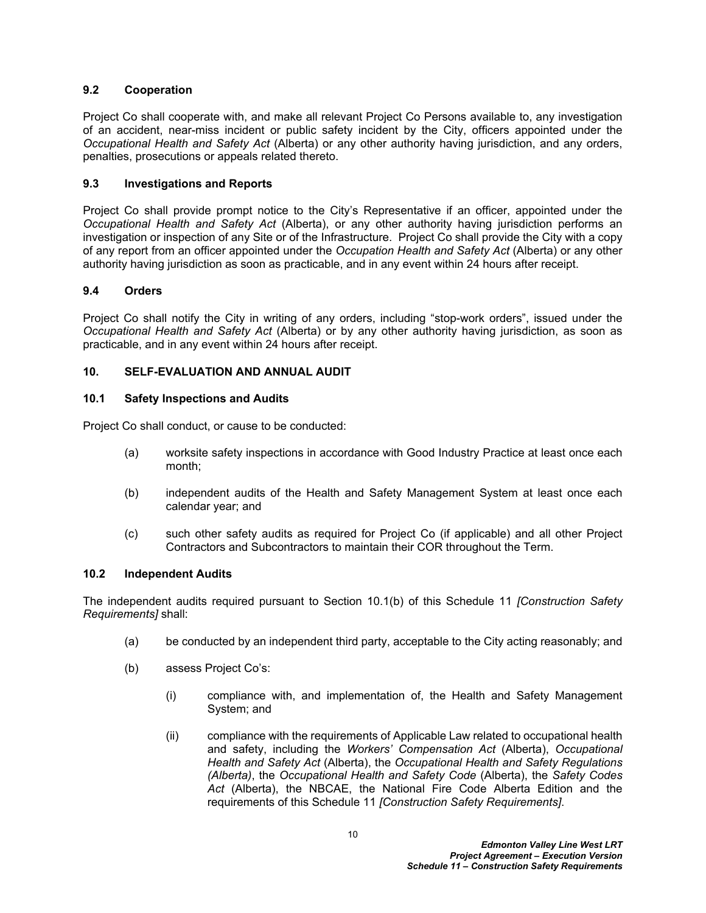### <span id="page-12-0"></span>**9.2 Cooperation**

Project Co shall cooperate with, and make all relevant Project Co Persons available to, any investigation of an accident, near-miss incident or public safety incident by the City, officers appointed under the *Occupational Health and Safety Act* (Alberta) or any other authority having jurisdiction, and any orders, penalties, prosecutions or appeals related thereto.

### <span id="page-12-1"></span>**9.3 Investigations and Reports**

Project Co shall provide prompt notice to the City's Representative if an officer, appointed under the *Occupational Health and Safety Act* (Alberta), or any other authority having jurisdiction performs an investigation or inspection of any Site or of the Infrastructure. Project Co shall provide the City with a copy of any report from an officer appointed under the *Occupation Health and Safety Act* (Alberta) or any other authority having jurisdiction as soon as practicable, and in any event within 24 hours after receipt.

### <span id="page-12-2"></span>**9.4 Orders**

Project Co shall notify the City in writing of any orders, including "stop-work orders", issued under the *Occupational Health and Safety Act* (Alberta) or by any other authority having jurisdiction, as soon as practicable, and in any event within 24 hours after receipt.

### <span id="page-12-3"></span>**10. SELF-EVALUATION AND ANNUAL AUDIT**

### <span id="page-12-4"></span>**10.1 Safety Inspections and Audits**

Project Co shall conduct, or cause to be conducted:

- (a) worksite safety inspections in accordance with Good Industry Practice at least once each month;
- <span id="page-12-6"></span>(b) independent audits of the Health and Safety Management System at least once each calendar year; and
- (c) such other safety audits as required for Project Co (if applicable) and all other Project Contractors and Subcontractors to maintain their COR throughout the Term.

#### <span id="page-12-5"></span>**10.2 Independent Audits**

The independent audits required pursuant to Section [10.1\(b\)](#page-12-6) of this Schedule 11 *[Construction Safety Requirements]* shall:

- (a) be conducted by an independent third party, acceptable to the City acting reasonably; and
- (b) assess Project Co's:
	- (i) compliance with, and implementation of, the Health and Safety Management System; and
	- (ii) compliance with the requirements of Applicable Law related to occupational health and safety, including the *Workers' Compensation Act* (Alberta), *Occupational Health and Safety Act* (Alberta), the *Occupational Health and Safety Regulations (Alberta)*, the *Occupational Health and Safety Code* (Alberta), the *Safety Codes Act* (Alberta), the NBCAE, the National Fire Code Alberta Edition and the requirements of this Schedule 11 *[Construction Safety Requirements]*.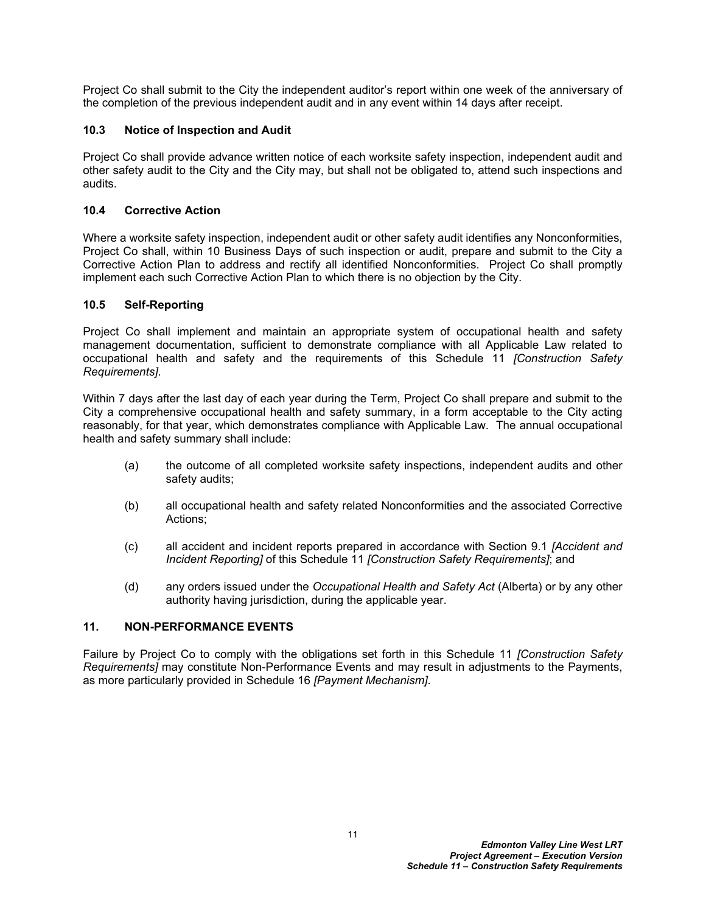Project Co shall submit to the City the independent auditor's report within one week of the anniversary of the completion of the previous independent audit and in any event within 14 days after receipt.

## <span id="page-13-0"></span>**10.3 Notice of Inspection and Audit**

Project Co shall provide advance written notice of each worksite safety inspection, independent audit and other safety audit to the City and the City may, but shall not be obligated to, attend such inspections and audits.

## <span id="page-13-1"></span>**10.4 Corrective Action**

Where a worksite safety inspection, independent audit or other safety audit identifies any Nonconformities, Project Co shall, within 10 Business Days of such inspection or audit, prepare and submit to the City a Corrective Action Plan to address and rectify all identified Nonconformities. Project Co shall promptly implement each such Corrective Action Plan to which there is no objection by the City.

### <span id="page-13-2"></span>**10.5 Self-Reporting**

Project Co shall implement and maintain an appropriate system of occupational health and safety management documentation, sufficient to demonstrate compliance with all Applicable Law related to occupational health and safety and the requirements of this Schedule 11 *[Construction Safety Requirements]*.

Within 7 days after the last day of each year during the Term, Project Co shall prepare and submit to the City a comprehensive occupational health and safety summary, in a form acceptable to the City acting reasonably, for that year, which demonstrates compliance with Applicable Law. The annual occupational health and safety summary shall include:

- (a) the outcome of all completed worksite safety inspections, independent audits and other safety audits;
- (b) all occupational health and safety related Nonconformities and the associated Corrective Actions;
- (c) all accident and incident reports prepared in accordance with Section [9.1](#page-11-1) *[Accident and Incident Reporting]* of this Schedule 11 *[Construction Safety Requirements]*; and
- (d) any orders issued under the *Occupational Health and Safety Act* (Alberta) or by any other authority having jurisdiction, during the applicable year.

## <span id="page-13-3"></span>**11. NON-PERFORMANCE EVENTS**

Failure by Project Co to comply with the obligations set forth in this Schedule 11 *[Construction Safety Requirements]* may constitute Non-Performance Events and may result in adjustments to the Payments, as more particularly provided in Schedule 16 *[Payment Mechanism]*.